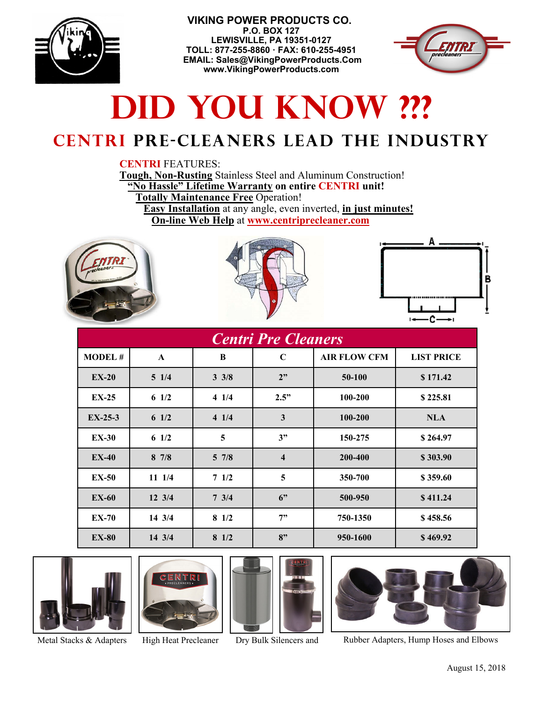

 **VIKING POWER PRODUCTS CO. P.O. BOX 127 LEWISVILLE, PA 19351-0127 TOLL: 877-255-8860 · FAX: 610-255-4951 EMAIL: Sales@VikingPowerProducts.Com www.VikingPowerProducts.com** 



# **DID YOU KNOW ???**

## **Centri pre-cleaners lead the industry**

#### **CENTRI** FEATURES:

**Tough, Non-Rusting** Stainless Steel and Aluminum Construction! **"No Hassle" Lifetime Warranty on entire CENTRI unit!** 

 **Totally Maintenance Free** Operation!

 **Easy Installation** at any angle, even inverted, **in just minutes! On-line Web Help** at **www.centriprecleaner.com**







| <b>Centri Pre Cleaners</b> |                  |                 |                         |                     |                   |
|----------------------------|------------------|-----------------|-------------------------|---------------------|-------------------|
| <b>MODEL#</b>              | A                | B               | $\mathbf C$             | <b>AIR FLOW CFM</b> | <b>LIST PRICE</b> |
| $EX-20$                    | $5 \; 1/4$       | $3 \frac{3}{8}$ | 2"                      | 50-100              | \$171.42          |
| $EX-25$                    | 6 $1/2$          | 41/4            | 2.5"                    | 100-200             | \$225.81          |
| $EX-25-3$                  | 6 $1/2$          | 41/4            | 3                       | 100-200             | <b>NLA</b>        |
| <b>EX-30</b>               | 6 $1/2$          | 5               | 3"                      | 150-275             | \$264.97          |
| $EX-40$                    | 87/8             | $5 \frac{7}{8}$ | $\overline{\mathbf{4}}$ | 200-400             | \$303.90          |
| <b>EX-50</b>               | 11 1/4           | 71/2            | 5                       | 350-700             | \$359.60          |
| <b>EX-60</b>               | $12 \frac{3}{4}$ | $7 \frac{3}{4}$ | 6"                      | 500-950             | \$411.24          |
| <b>EX-70</b>               | 14 3/4           | $8 \frac{1}{2}$ | 7"                      | 750-1350            | \$458.56          |
| <b>EX-80</b>               | $14 \frac{3}{4}$ | $8 \frac{1}{2}$ | 8"                      | 950-1600            | \$469.92          |









Metal Stacks & Adapters High Heat Precleaner Dry Bulk Silencers and Rubber Adapters, Hump Hoses and Elbows